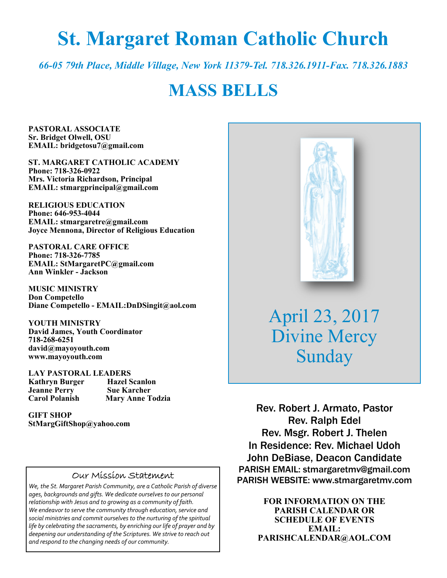# **St. Margaret Roman Catholic Church**

*66-05 79th Place, Middle Village, New York 11379-Tel. 718.326.1911-Fax. 718.326.1883* 

# **MASS BELLS**

**PASTORAL ASSOCIATE Sr. Bridget Olwell, OSU EMAIL: bridgetosu7@gmail.com** 

**ST. MARGARET CATHOLIC ACADEMY Phone: 718-326-0922 Mrs. Victoria Richardson, Principal EMAIL: stmargprincipal@gmail.com** 

**RELIGIOUS EDUCATION Phone: 646-953-4044 EMAIL: stmargaretre@gmail.com Joyce Mennona, Director of Religious Education** 

**PASTORAL CARE OFFICE Phone: 718-326-7785 EMAIL: StMargaretPC@gmail.com Ann Winkler - Jackson** 

**MUSIC MINISTRY Don Competello Diane Competello - EMAIL:DnDSingit@aol.com** 

**YOUTH MINISTRY David James, Youth Coordinator 718-268-6251 david@mayoyouth.com www.mayoyouth.com** 

**LAY PASTORAL LEADERS Kathryn Burger Hazel Scanlon Jeanne Perry Carol Polanish Mary Anne Todzia** 

**GIFT SHOP StMargGiftShop@yahoo.com**

#### Our Mission Statement

*We, the St. Margaret Parish Community, are a Catholic Parish of diverse ages, backgrounds and gifts. We dedicate ourselves to our personal relationship with Jesus and to growing as a community of faith. We endeavor to serve the community through education, service and social ministries and commit ourselves to the nurturing of the spiritual life by celebrating the sacraments, by enriching our life of prayer and by deepening our understanding of the Scriptures. We strive to reach out and respond to the changing needs of our community.*



April 23, 2017 Divine Mercy Sunday

Rev. Robert J. Armato, Pastor Rev. Ralph Edel Rev. Msgr. Robert J. Thelen In Residence: Rev. Michael Udoh John DeBiase, Deacon Candidate PARISH EMAIL: stmargaretmv@gmail.com PARISH WEBSITE: www.stmargaretmv.com

> **FOR INFORMATION ON THE PARISH CALENDAR OR SCHEDULE OF EVENTS EMAIL: PARISHCALENDAR@AOL.COM**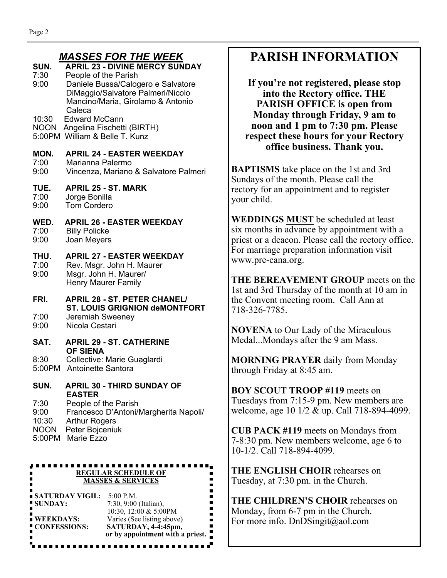#### *MASSES FOR THE WEEK*

|                               | MAJJLJ I VN IIIL WLLN                                                                                                                |
|-------------------------------|--------------------------------------------------------------------------------------------------------------------------------------|
| SUN.<br>7:30<br>9:00          | <b>APRIL 23 - DIVINE MERCY SUNDAY</b><br>People of the Parish<br>Daniele Bussa/Calogero e Salvatore                                  |
|                               | DiMaggio/Salvatore Palmeri/Nicolo<br>Mancino/Maria, Girolamo & Antonio<br>Caleca                                                     |
| 10:30<br>NOON                 | <b>Edward McCann</b><br>Angelina Fischetti (BIRTH)<br>5:00PM William & Belle T. Kunz                                                 |
| MON.<br>7:00<br>9:00          | <b>APRIL 24 - EASTER WEEKDAY</b><br>Marianna Palermo<br>Vincenza, Mariano & Salvatore Palmeri                                        |
| TUE.<br>7:00<br>9:00          | <b>APRIL 25 - ST. MARK</b><br>Jorge Bonilla<br><b>Tom Cordero</b>                                                                    |
| WED.<br>7:00<br>9:00          | <b>APRIL 26 - EASTER WEEKDAY</b><br><b>Billy Policke</b><br>Joan Meyers                                                              |
| THU.<br>7:00<br>9:00          | <b>APRIL 27 - EASTER WEEKDAY</b><br>Rev. Msgr. John H. Maurer<br>Msgr. John H. Maurer/<br><b>Henry Maurer Family</b>                 |
| FRI.                          | <b>APRIL 28 - ST. PETER CHANEL/</b><br><b>ST. LOUIS GRIGNION deMONTFORT</b>                                                          |
| 7:00<br>9:00                  | Jeremiah Sweeney<br>Nicola Cestari                                                                                                   |
| SAT.                          | <b>APRIL 29 - ST. CATHERINE</b><br><b>OF SIENA</b>                                                                                   |
| 8:30<br>5:00PM                | Collective: Marie Guaglardi<br>Antoinette Santora                                                                                    |
| SUN.<br>7:30<br>9:00<br>10:30 | <b>APRIL 30 - THIRD SUNDAY OF</b><br><b>EASTER</b><br>People of the Parish<br>Francesco D'Antoni/Margherita Napoli/<br>Arthur Rogers |

10:30 Arthur Rogers NOON Peter Bojceniuk

5:00PM Marie Ezzo

 $\blacksquare$ 

#### .......... **REGULAR SCHEDULE OF MASSES & SERVICES**

| ■ SATURDAY VIGIL:        | $5:00$ P.M.                      |
|--------------------------|----------------------------------|
| ■ SUNDAY:                | 7:30, 9:00 (Italian),            |
|                          | 10:30, 12:00 & 5:00PM            |
| $\blacksquare$ WEEKDAYS: | Varies (See listing above)       |
| ■ CONFESSIONS:           | SATURDAY, 4-4:45pm,              |
|                          | or by appointment with a priest. |

# **PARISH INFORMATION**

**If you're not registered, please stop into the Rectory office. THE PARISH OFFICE is open from Monday through Friday, 9 am to noon and 1 pm to 7:30 pm. Please respect these hours for your Rectory office business. Thank you.** 

**BAPTISMS** take place on the 1st and 3rd Sundays of the month. Please call the rectory for an appointment and to register your child.

**WEDDINGS MUST** be scheduled at least six months in advance by appointment with a priest or a deacon. Please call the rectory office. For marriage preparation information visit www.pre-cana.org.

**THE BEREAVEMENT GROUP** meets on the 1st and 3rd Thursday of the month at 10 am in the Convent meeting room. Call Ann at 718-326-7785.

**NOVENA** to Our Lady of the Miraculous Medal...Mondays after the 9 am Mass.

**MORNING PRAYER** daily from Monday through Friday at 8:45 am.

**BOY SCOUT TROOP #119** meets on Tuesdays from 7:15-9 pm. New members are welcome, age 10 1/2 & up. Call 718-894-4099.

**CUB PACK #119** meets on Mondays from 7-8:30 pm. New members welcome, age 6 to 10-1/2. Call 718-894-4099.

**THE ENGLISH CHOIR** rehearses on Tuesday, at 7:30 pm. in the Church.

**THE CHILDREN'S CHOIR** rehearses on Monday, from 6-7 pm in the Church. For more info. DnDSingit@aol.com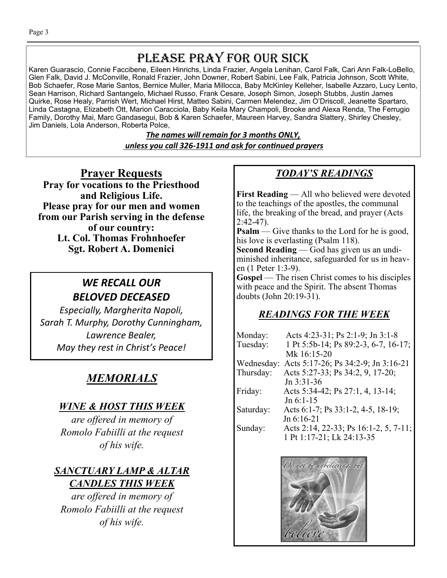# PLEASE PRAY FOR OUR SICK

Karen Guarascio, Connie Faccibene, Eileen Hinrichs, Linda Frazier, Angela Lenihan, Carol Falk, Cari Ann Falk-LoBello, Glen Falk, David J. McConville, Ronald Frazier, John Downer, Robert Sabini, Lee Falk, Patricia Johnson, Scott White, Bob Schaefer, Rose Marie Santos, Bernice Muller, Maria Millocca, Baby McKinley Kelleher, Isabelle Azzaro, Lucy Lento, Sean Harrison, Richard Santangelo, Michael Russo, Frank Cesare, Joseph Simon, Joseph Stubbs, Justin James Quirke, Rose Healy, Parrish Wert, Michael Hirst, Matteo Sabini, Carmen Melendez, Jim O'Driscoll, Jeanette Spartaro, Linda Castagna, Elizabeth Ott, Marion Caracciola, Baby Keila Mary Champoli, Brooke and Alexa Renda, The Ferrugio Family, Dorothy Mai, Marc Gandasegui, Bob & Karen Schaefer, Maureen Harvey, Sandra Slattery, Shirley Chesley, Jim Daniels, Lola Anderson, Roberta Polce,

> *The names will remain for 3 months ONLY, unless you call 326-1911 and ask for conƟnued prayers*

**Prayer Requests Pray for vocations to the Priesthood and Religious Life. Please pray for our men and women from our Parish serving in the defense of our country: Lt. Col. Thomas Frohnhoefer Sgt. Robert A. Domenici** 

# *WE RECALL OUR BELOVED DECEASED*

*Especially, Margherita Napoli, Sarah T. Murphy, Dorothy Cunningham, Lawrence Bealer, May they rest in Christ's Peace!* 

# *MEMORIALS*

# *WINE & HOST THIS WEEK*

*are offered in memory of Romolo Fabiilli at the request of his wife.* 

# *SANCTUARY LAMP & ALTAR CANDLES THIS WEEK*

*are offered in memory of Romolo Fabiilli at the request of his wife.* 

# *TODAY'S READINGS*

**First Reading** — All who believed were devoted to the teachings of the apostles, the communal life, the breaking of the bread, and prayer (Acts 2:42-47).

**Psalm** — Give thanks to the Lord for he is good, his love is everlasting (Psalm 118).

**Second Reading** — God has given us an undiminished inheritance, safeguarded for us in heaven (1 Peter 1:3-9).

**Gospel** — The risen Christ comes to his disciples with peace and the Spirit. The absent Thomas doubts (John 20:19-31).

# *READINGS FOR THE WEEK*

| Monday:    | Acts 4:23-31; Ps 2:1-9; Jn 3:1-8      |
|------------|---------------------------------------|
| Tuesday:   | 1 Pt 5:5b-14; Ps 89:2-3, 6-7, 16-17;  |
|            | Mk 16:15-20                           |
| Wednesday: | Acts 5:17-26; Ps 34:2-9; Jn 3:16-21   |
| Thursday:  | Acts 5:27-33; Ps 34:2, 9, 17-20;      |
|            | $Jn 3:31-36$                          |
| Friday:    | Acts 5:34-42; Ps 27:1, 4, 13-14;      |
|            | $Jn 6:1-15$                           |
| Saturday:  | Acts 6:1-7; Ps 33:1-2, 4-5, 18-19;    |
|            | Jn 6:16-21                            |
| Sunday:    | Acts 2:14, 22-33; Ps 16:1-2, 5, 7-11; |
|            | 1 Pt 1:17-21; Lk 24:13-35             |

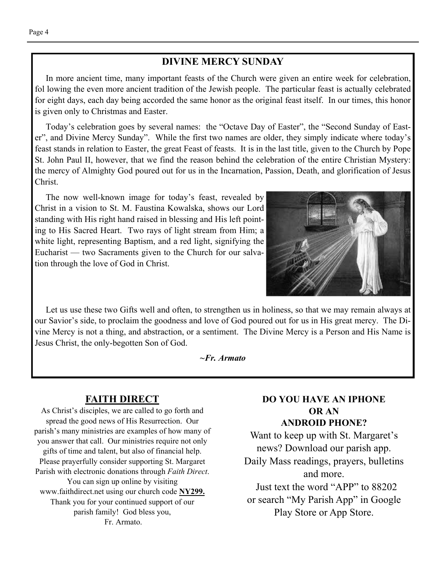#### **DIVINE MERCY SUNDAY**

 In more ancient time, many important feasts of the Church were given an entire week for celebration, fol lowing the even more ancient tradition of the Jewish people. The particular feast is actually celebrated for eight days, each day being accorded the same honor as the original feast itself. In our times, this honor is given only to Christmas and Easter.

 Today's celebration goes by several names: the "Octave Day of Easter", the "Second Sunday of Easter", and Divine Mercy Sunday". While the first two names are older, they simply indicate where today's feast stands in relation to Easter, the great Feast of feasts. It is in the last title, given to the Church by Pope St. John Paul II, however, that we find the reason behind the celebration of the entire Christian Mystery: the mercy of Almighty God poured out for us in the Incarnation, Passion, Death, and glorification of Jesus Christ.

 The now well-known image for today's feast, revealed by Christ in a vision to St. M. Faustina Kowalska, shows our Lord standing with His right hand raised in blessing and His left pointing to His Sacred Heart. Two rays of light stream from Him; a white light, representing Baptism, and a red light, signifying the Eucharist — two Sacraments given to the Church for our salvation through the love of God in Christ.



 Let us use these two Gifts well and often, to strengthen us in holiness, so that we may remain always at our Savior's side, to proclaim the goodness and love of God poured out for us in His great mercy. The Divine Mercy is not a thing, and abstraction, or a sentiment. The Divine Mercy is a Person and His Name is Jesus Christ, the only-begotten Son of God.

*~Fr. Armato* 

#### **FAITH DIRECT**

As Christ's disciples, we are called to go forth and spread the good news of His Resurrection. Our parish's many ministries are examples of how many of you answer that call. Our ministries require not only gifts of time and talent, but also of financial help. Please prayerfully consider supporting St. Margaret Parish with electronic donations through *Faith Direct*. You can sign up online by visiting www.faithdirect.net using our church code **NY299.**  Thank you for your continued support of our parish family! God bless you, Fr. Armato.

#### **DO YOU HAVE AN IPHONE OR AN ANDROID PHONE?**

Want to keep up with St. Margaret's news? Download our parish app. Daily Mass readings, prayers, bulletins and more. Just text the word "APP" to 88202 or search "My Parish App" in Google Play Store or App Store.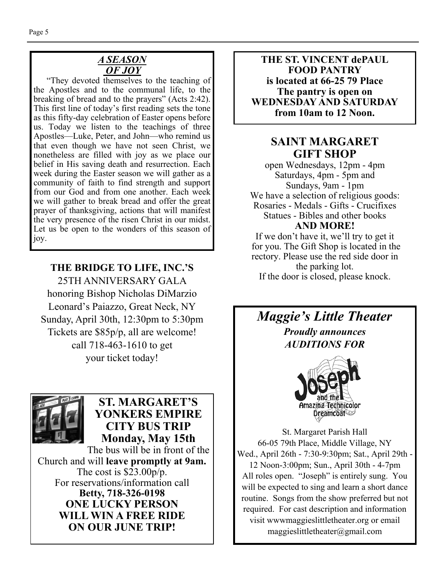#### *A SEASON OF JOY*

"They devoted themselves to the teaching of the Apostles and to the communal life, to the breaking of bread and to the prayers" (Acts 2:42). This first line of today's first reading sets the tone as this fifty-day celebration of Easter opens before us. Today we listen to the teachings of three Apostles—Luke, Peter, and John—who remind us that even though we have not seen Christ, we nonetheless are filled with joy as we place our belief in His saving death and resurrection. Each week during the Easter season we will gather as a community of faith to find strength and support from our God and from one another. Each week we will gather to break bread and offer the great prayer of thanksgiving, actions that will manifest the very presence of the risen Christ in our midst. Let us be open to the wonders of this season of joy.

## **THE BRIDGE TO LIFE, INC.'S**

25TH ANNIVERSARY GALA honoring Bishop Nicholas DiMarzio Leonard's Paiazzo, Great Neck, NY Sunday, April 30th, 12:30pm to 5:30pm Tickets are \$85p/p, all are welcome! call 718-463-1610 to get your ticket today!



# **ST. MARGARET'S YONKERS EMPIRE CITY BUS TRIP Monday, May 15th**

The bus will be in front of the Church and will **leave promptly at 9am.**  The cost is \$23.00p/p. For reservations/information call **Betty, 718-326-0198 ONE LUCKY PERSON WILL WIN A FREE RIDE ON OUR JUNE TRIP!** 

**THE ST. VINCENT dePAUL FOOD PANTRY is located at 66-25 79 Place The pantry is open on WEDNESDAY AND SATURDAY from 10am to 12 Noon.** 

# **SAINT MARGARET GIFT SHOP**

open Wednesdays, 12pm - 4pm Saturdays, 4pm - 5pm and Sundays, 9am - 1pm We have a selection of religious goods: Rosaries - Medals - Gifts - Crucifixes Statues - Bibles and other books **AND MORE!** 

If we don't have it, we'll try to get it for you. The Gift Shop is located in the rectory. Please use the red side door in the parking lot. If the door is closed, please knock.

*Maggie's Little Theater Proudly announces AUDITIONS FOR* 



St. Margaret Parish Hall 66-05 79th Place, Middle Village, NY Wed., April 26th - 7:30-9:30pm; Sat., April 29th - 12 Noon-3:00pm; Sun., April 30th - 4-7pm All roles open. "Joseph" is entirely sung. You will be expected to sing and learn a short dance routine. Songs from the show preferred but not required. For cast description and information visit wwwmaggieslittletheater.org or email maggieslittletheater@gmail.com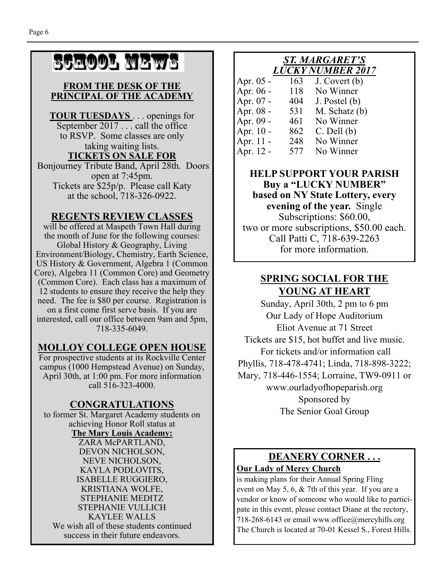# SCHOOL NEWS

#### **FROM THE DESK OF THE PRINCIPAL OF THE ACADEMY**

**TOUR TUESDAYS** . . . openings for September 2017 . . . call the office to RSVP. Some classes are only taking waiting lists.

#### **TICKETS ON SALE FOR**

 Bonjourney Tribute Band, April 28th. Doors open at 7:45pm. Tickets are \$25p/p. Please call Katy at the school, 718-326-0922.

### **REGENTS REVIEW CLASSES**

will be offered at Maspeth Town Hall during the month of June for the following courses: Global History & Geography, Living Environment/Biology, Chemistry, Earth Science, US History & Government, Algebra 1 (Common Core), Algebra 11 (Common Core) and Geometry (Common Core). Each class has a maximum of 12 students to ensure they receive the help they need. The fee is \$80 per course. Registration is on a first come first serve basis. If you are interested, call our office between 9am and 5pm, 718-335-6049.

### **MOLLOY COLLEGE OPEN HOUSE**

For prospective students at its Rockville Center campus (1000 Hempstead Avenue) on Sunday, April 30th, at 1:00 pm. For more information call 516-323-4000.

### **CONGRATULATIONS**

to former St. Margaret Academy students on achieving Honor Roll status at **The Mary Louis Academy:**  ZARA McPARTLAND, DEVON NICHOLSON, NEVE NICHOLSON, KAYLA PODLOVITS, ISABELLE RUGGIERO, KRISTIANA WOLFE, STEPHANIE MEDITZ STEPHANIE VULLICH KAYLEE WALLS We wish all of these students continued success in their future endeavors.

### *ST. MARGARET'S LUCKY NUMBER 2017*

| Apr. 05 - | 163 | J. Covert (b)   |
|-----------|-----|-----------------|
| Apr. 06 - | 118 | No Winner       |
| Apr. 07 - | 404 | J. Postel (b)   |
| Apr. 08 - | 531 | M. Schatz (b)   |
| Apr. 09 - | 461 | No Winner       |
| Apr. 10 - | 862 | $C.$ Dell $(b)$ |
| Apr. 11 - | 248 | No Winner       |
| Apr. 12 - | 577 | No Winner       |

#### **HELP SUPPORT YOUR PARISH Buy a "LUCKY NUMBER" based on NY State Lottery, every evening of the year.** Single Subscriptions: \$60.00, two or more subscriptions, \$50.00 each. Call Patti C, 718-639-2263 for more information.

### **SPRING SOCIAL FOR THE YOUNG AT HEART**

Sunday, April 30th, 2 pm to 6 pm Our Lady of Hope Auditorium Eliot Avenue at 71 Street Tickets are \$15, hot buffet and live music. For tickets and/or information call Phyllis, 718-478-4741; Linda, 718-898-3222; Mary, 718-446-1554; Lorraine, TW9-0911 or www.ourladyofhopeparish.org Sponsored by The Senior Goal Group

# **DEANERY CORNER . . .**

#### **Our Lady of Mercy Church**

is making plans for their Annual Spring Fling event on May 5, 6, & 7th of this year. If you are a vendor or know of someone who would like to participate in this event, please contact Diane at the rectory, 718-268-6143 or email www.office@mercyhills.org The Church is located at 70-01 Kessel S., Forest Hills.